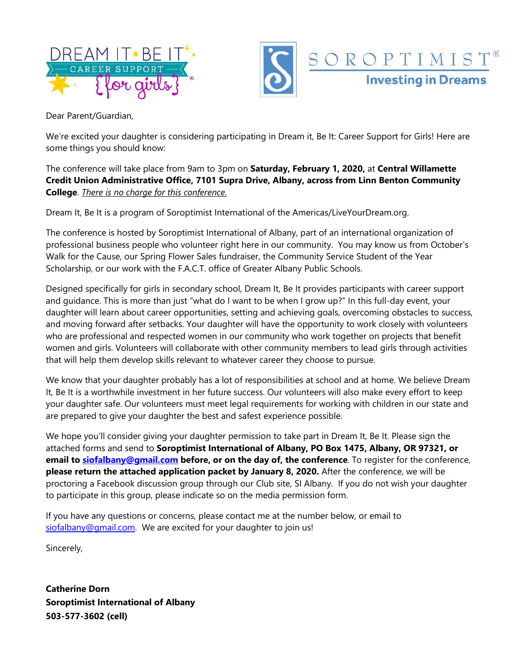



Dear Parent/Guardian,

We're excited your daughter is considering participating in Dream it, Be It: Career Support for Girls! Here are some things you should know:

The conference will take place from 9am to 3pm on **Saturday, February 1, 2020,** at **Central Willamette Credit Union Administrative Office, 7101 Supra Drive, Albany, across from Linn Benton Community College**. *There is no charge for this conference.*

Dream It, Be It is a program of Soroptimist International of the Americas/LiveYourDream.org.

The conference is hosted by Soroptimist International of Albany, part of an international organization of professional business people who volunteer right here in our community. You may know us from October's Walk for the Cause, our Spring Flower Sales fundraiser, the Community Service Student of the Year Scholarship, or our work with the F.A.C.T. office of Greater Albany Public Schools.

Designed specifically for girls in secondary school, Dream It, Be It provides participants with career support and guidance. This is more than just "what do I want to be when I grow up?" In this full-day event, your daughter will learn about career opportunities, setting and achieving goals, overcoming obstacles to success, and moving forward after setbacks. Your daughter will have the opportunity to work closely with volunteers who are professional and respected women in our community who work together on projects that benefit women and girls. Volunteers will collaborate with other community members to lead girls through activities that will help them develop skills relevant to whatever career they choose to pursue.

We know that your daughter probably has a lot of responsibilities at school and at home. We believe Dream It, Be It is a worthwhile investment in her future success. Our volunteers will also make every effort to keep your daughter safe. Our volunteers must meet legal requirements for working with children in our state and are prepared to give your daughter the best and safest experience possible.

We hope you'll consider giving your daughter permission to take part in Dream It, Be It. Please sign the attached forms and send to **Soroptimist International of Albany, PO Box 1475, Albany, OR 97321, or email to [siofalbany@gmail.com](mailto:siofalbany@gmail.com) before, or on the day of, the conference**. To register for the conference, **please return the attached application packet by January 8, 2020.** After the conference, we will be proctoring a Facebook discussion group through our Club site, SI Albany. If you do not wish your daughter to participate in this group, please indicate so on the media permission form.

If you have any questions or concerns, please contact me at the number below, or email to [siofalbany@gmail.com.](mailto:siofalbany@gmail.com) We are excited for your daughter to join us!

Sincerely,

**Catherine Dorn Soroptimist International of Albany 503-577-3602 (cell)**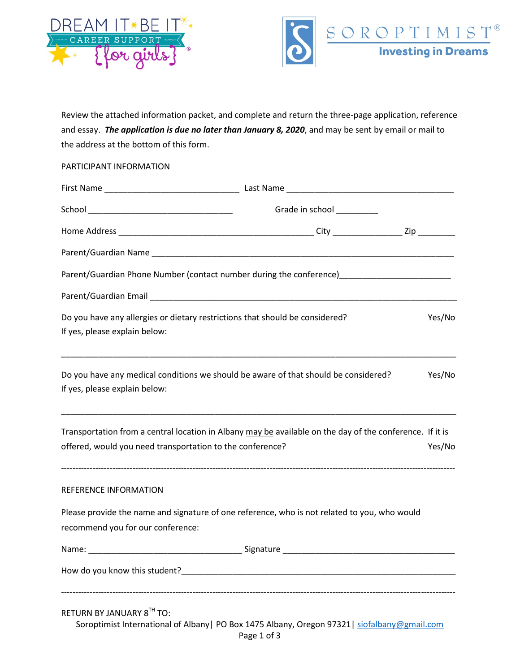



Review the attached information packet, and complete and return the three-page application, reference and essay. *The application is due no later than January 8, 2020*, and may be sent by email or mail to the address at the bottom of this form.

#### PARTICIPANT INFORMATION

|                                                                                                                                                                                                                               | Grade in school _________                                                                                |        |
|-------------------------------------------------------------------------------------------------------------------------------------------------------------------------------------------------------------------------------|----------------------------------------------------------------------------------------------------------|--------|
|                                                                                                                                                                                                                               |                                                                                                          |        |
|                                                                                                                                                                                                                               |                                                                                                          |        |
|                                                                                                                                                                                                                               |                                                                                                          |        |
|                                                                                                                                                                                                                               |                                                                                                          |        |
| Do you have any allergies or dietary restrictions that should be considered?<br>If yes, please explain below:                                                                                                                 |                                                                                                          | Yes/No |
| Do you have any medical conditions we should be aware of that should be considered?<br>If yes, please explain below:                                                                                                          |                                                                                                          | Yes/No |
| offered, would you need transportation to the conference?                                                                                                                                                                     | Transportation from a central location in Albany may be available on the day of the conference. If it is | Yes/No |
| REFERENCE INFORMATION                                                                                                                                                                                                         |                                                                                                          |        |
|                                                                                                                                                                                                                               | Please provide the name and signature of one reference, who is not related to you, who would             |        |
| recommend you for our conference:                                                                                                                                                                                             |                                                                                                          |        |
|                                                                                                                                                                                                                               |                                                                                                          |        |
| How do you know this student? The state of the state of the state of the state of the state of the state of the state of the state of the state of the state of the state of the state of the state of the state of the state |                                                                                                          |        |
| RETURN BY JANUARY 8TH TO:                                                                                                                                                                                                     | Soroptimist International of Albany   PO Box 1475 Albany, Oregon 97321   siofalbany@gmail.com            |        |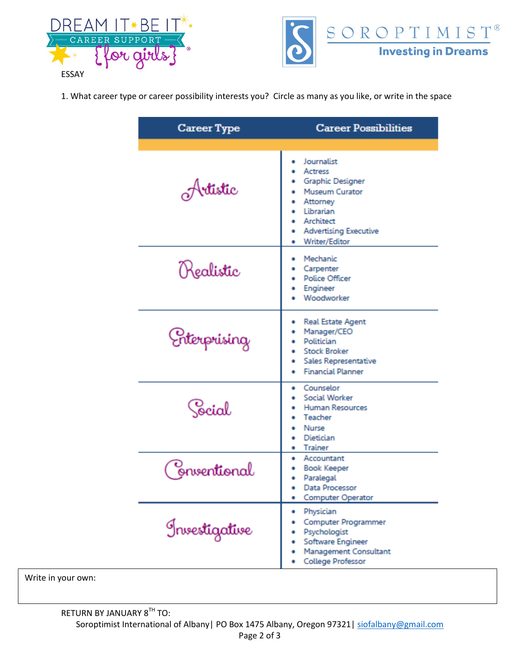



1. What career type or career possibility interests you? Circle as many as you like, or write in the space

| Career Type   | <b>Career Possibilities</b>                                                                                                                                                   |
|---------------|-------------------------------------------------------------------------------------------------------------------------------------------------------------------------------|
| Artistic      | Journalist<br><b>Actress</b><br><b>Graphic Designer</b><br><b>Museum Curator</b><br>Attorney<br><b>•</b> Librarian<br>Architect<br>• Advertising Executive<br>• Writer/Editor |
| Realistic     | Mechanic<br>Carpenter<br><b>Police Officer</b><br>Engineer<br>Woodworker                                                                                                      |
| Chterprising  | <b>Real Estate Agent</b><br>Manager/CEO<br>Politician<br><b>Stock Broker</b><br>Sales Representative<br><b>Financial Planner</b>                                              |
| Cocial        | Counselor<br><b>Social Worker</b><br><b>Human Resources</b><br>Teacher<br>• Nurse<br>Dietician<br>. .<br>• Trainer                                                            |
| Enventional   | · Accountant<br><b>Book Keeper</b><br>Paralegal<br>Data Processor<br>٠<br>Computer Operator                                                                                   |
| Investigative | Physician<br>Computer Programmer<br>Psychologist<br>Software Engineer<br><b>Management Consultant</b><br>College Professor                                                    |

Write in your own: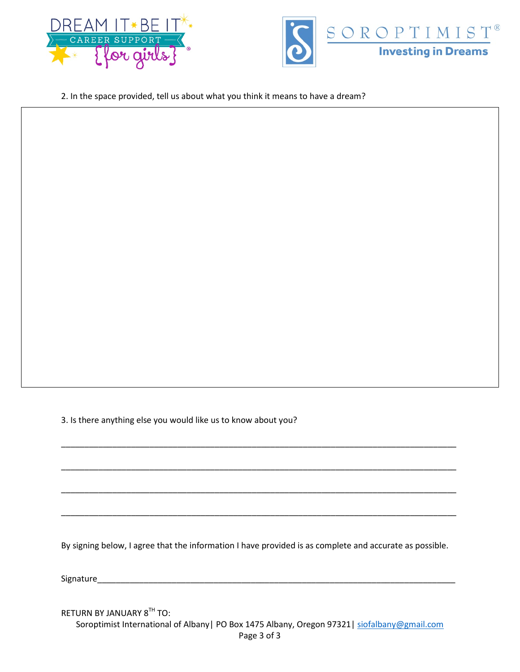



2. In the space provided, tell us about what you think it means to have a dream?

3. Is there anything else you would like us to know about you?

By signing below, I agree that the information I have provided is as complete and accurate as possible.

\_\_\_\_\_\_\_\_\_\_\_\_\_\_\_\_\_\_\_\_\_\_\_\_\_\_\_\_\_\_\_\_\_\_\_\_\_\_\_\_\_\_\_\_\_\_\_\_\_\_\_\_\_\_\_\_\_\_\_\_\_\_\_\_\_\_\_\_\_\_\_\_\_\_\_\_\_\_\_\_\_\_\_\_\_

\_\_\_\_\_\_\_\_\_\_\_\_\_\_\_\_\_\_\_\_\_\_\_\_\_\_\_\_\_\_\_\_\_\_\_\_\_\_\_\_\_\_\_\_\_\_\_\_\_\_\_\_\_\_\_\_\_\_\_\_\_\_\_\_\_\_\_\_\_\_\_\_\_\_\_\_\_\_\_\_\_\_\_\_\_

\_\_\_\_\_\_\_\_\_\_\_\_\_\_\_\_\_\_\_\_\_\_\_\_\_\_\_\_\_\_\_\_\_\_\_\_\_\_\_\_\_\_\_\_\_\_\_\_\_\_\_\_\_\_\_\_\_\_\_\_\_\_\_\_\_\_\_\_\_\_\_\_\_\_\_\_\_\_\_\_\_\_\_\_\_

\_\_\_\_\_\_\_\_\_\_\_\_\_\_\_\_\_\_\_\_\_\_\_\_\_\_\_\_\_\_\_\_\_\_\_\_\_\_\_\_\_\_\_\_\_\_\_\_\_\_\_\_\_\_\_\_\_\_\_\_\_\_\_\_\_\_\_\_\_\_\_\_\_\_\_\_\_\_\_\_\_\_\_\_\_

Signature

RETURN BY JANUARY 8TH TO:

Soroptimist International of Albany| PO Box 1475 Albany, Oregon 97321| [siofalbany@gmail.com](mailto:siofalbany@gmail.com) Page 3 of 3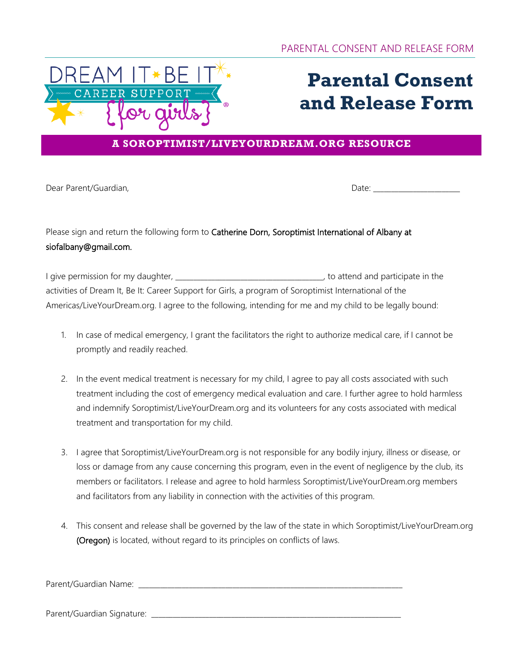

# **Parental Consent and Release Form**

### **A SOROPTIMIST/LIVEYOURDREAM.ORG RESOURCE**

Dear Parent/Guardian, etc. and the contract of the contract of the Date:

## Please sign and return the following form to Catherine Dorn, Soroptimist International of Albany at siofalbany@gmail.com.

I give permission for my daughter, \_\_\_\_\_\_\_\_\_\_\_\_\_\_\_\_\_\_\_\_\_\_\_\_\_\_\_\_\_\_\_\_\_\_\_\_\_\_\_\_\_, to attend and participate in the activities of Dream It, Be It: Career Support for Girls, a program of Soroptimist International of the Americas/LiveYourDream.org. I agree to the following, intending for me and my child to be legally bound:

- 1. In case of medical emergency, I grant the facilitators the right to authorize medical care, if I cannot be promptly and readily reached.
- 2. In the event medical treatment is necessary for my child, I agree to pay all costs associated with such treatment including the cost of emergency medical evaluation and care. I further agree to hold harmless and indemnify Soroptimist/LiveYourDream.org and its volunteers for any costs associated with medical treatment and transportation for my child.
- 3. I agree that Soroptimist/LiveYourDream.org is not responsible for any bodily injury, illness or disease, or loss or damage from any cause concerning this program, even in the event of negligence by the club, its members or facilitators. I release and agree to hold harmless Soroptimist/LiveYourDream.org members and facilitators from any liability in connection with the activities of this program.
- 4. This consent and release shall be governed by the law of the state in which Soroptimist/LiveYourDream.org (Oregon) is located, without regard to its principles on conflicts of laws.

Parent/Guardian Name: \_\_\_\_\_\_\_\_\_\_\_\_\_\_\_\_\_\_\_\_\_\_\_\_\_\_\_\_\_\_\_\_\_\_\_\_\_\_\_\_\_\_\_\_\_\_\_\_\_\_\_\_\_\_\_\_\_\_\_\_\_\_\_\_\_\_\_\_\_\_\_\_\_

Parent/Guardian Signature: \_\_\_\_\_\_\_\_\_\_\_\_\_\_\_\_\_\_\_\_\_\_\_\_\_\_\_\_\_\_\_\_\_\_\_\_\_\_\_\_\_\_\_\_\_\_\_\_\_\_\_\_\_\_\_\_\_\_\_\_\_\_\_\_\_\_\_\_\_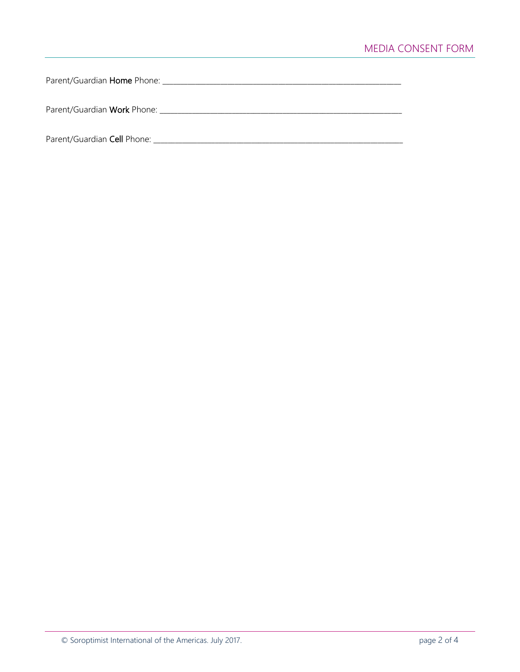Parent/Guardian Home Phone: \_\_\_\_\_\_\_\_\_\_\_\_\_\_\_\_\_\_\_\_\_\_\_\_\_\_\_\_\_\_\_\_\_\_\_\_\_\_\_\_\_\_\_\_\_\_\_\_\_\_\_\_\_\_\_\_\_\_\_\_\_\_\_\_\_\_

Parent/Guardian Work Phone: \_\_\_\_\_\_\_\_\_\_\_\_\_\_\_\_\_\_\_\_\_\_\_\_\_\_\_\_\_\_\_\_\_\_\_\_\_\_\_\_\_\_\_\_\_\_\_\_\_\_\_\_\_\_\_\_\_\_\_\_\_\_\_\_\_\_\_

Parent/Guardian Cell Phone: \_\_\_\_\_\_\_\_\_\_\_\_\_\_\_\_\_\_\_\_\_\_\_\_\_\_\_\_\_\_\_\_\_\_\_\_\_\_\_\_\_\_\_\_\_\_\_\_\_\_\_\_\_\_\_\_\_\_\_\_\_\_\_\_\_\_\_\_\_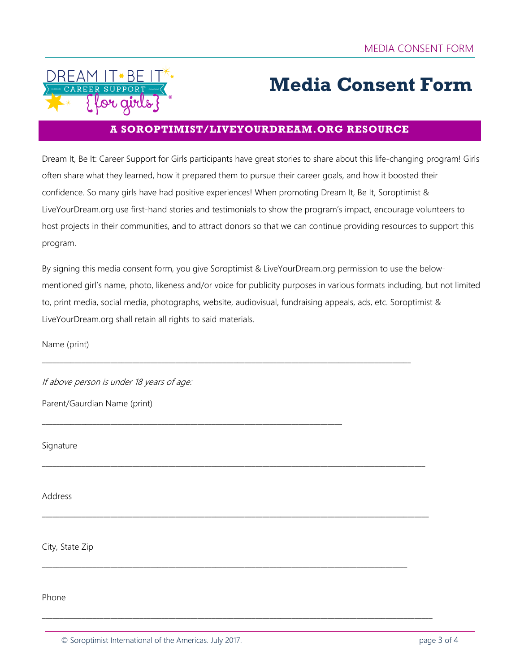

# **Media Consent Form**

### **A SOROPTIMIST/LIVEYOURDREAM.ORG RESOURCE**

Dream It, Be It: Career Support for Girls participants have great stories to share about this life-changing program! Girls often share what they learned, how it prepared them to pursue their career goals, and how it boosted their confidence. So many girls have had positive experiences! When promoting Dream It, Be It, Soroptimist & LiveYourDream.org use first-hand stories and testimonials to show the program's impact, encourage volunteers to host projects in their communities, and to attract donors so that we can continue providing resources to support this program.

By signing this media consent form, you give Soroptimist & LiveYourDream.org permission to use the belowmentioned girl's name, photo, likeness and/or voice for publicity purposes in various formats including, but not limited to, print media, social media, photographs, website, audiovisual, fundraising appeals, ads, etc. Soroptimist & LiveYourDream.org shall retain all rights to said materials.

\_\_\_\_\_\_\_\_\_\_\_\_\_\_\_\_\_\_\_\_\_\_\_\_\_\_\_\_\_\_\_\_\_\_\_\_\_\_\_\_\_\_\_\_\_\_\_\_\_\_\_\_\_\_\_\_\_\_\_\_\_\_\_\_\_\_\_\_\_\_\_\_\_\_\_\_\_\_\_\_\_\_\_\_\_\_\_\_\_\_\_\_\_\_\_\_\_\_\_\_\_\_

\_\_\_\_\_\_\_\_\_\_\_\_\_\_\_\_\_\_\_\_\_\_\_\_\_\_\_\_\_\_\_\_\_\_\_\_\_\_\_\_\_\_\_\_\_\_\_\_\_\_\_\_\_\_\_\_\_\_\_\_\_\_\_\_\_\_\_\_\_\_\_\_\_\_\_\_\_\_\_\_\_\_\_\_\_\_\_\_\_\_\_\_\_\_\_\_\_\_\_\_\_\_\_\_\_\_

\_\_\_\_\_\_\_\_\_\_\_\_\_\_\_\_\_\_\_\_\_\_\_\_\_\_\_\_\_\_\_\_\_\_\_\_\_\_\_\_\_\_\_\_\_\_\_\_\_\_\_\_\_\_\_\_\_\_\_\_\_\_\_\_\_\_\_\_\_\_\_\_\_\_\_\_\_\_\_\_\_\_\_\_\_\_\_\_\_\_\_\_\_\_\_\_\_\_\_\_\_\_\_\_\_\_\_

\_\_\_\_\_\_\_\_\_\_\_\_\_\_\_\_\_\_\_\_\_\_\_\_\_\_\_\_\_\_\_\_\_\_\_\_\_\_\_\_\_\_\_\_\_\_\_\_\_\_\_\_\_\_\_\_\_\_\_\_\_\_\_\_\_\_\_\_\_\_\_\_\_\_\_\_\_\_\_\_\_\_\_\_\_\_\_\_\_\_\_\_\_\_\_\_\_\_\_\_\_\_\_\_\_\_\_\_

\_\_\_\_\_\_\_\_\_\_\_\_\_\_\_\_\_\_\_\_\_\_\_\_\_\_\_\_\_\_\_\_\_\_\_\_\_\_\_\_\_\_\_\_\_\_\_\_\_\_\_\_\_\_\_\_\_\_\_\_\_\_\_\_\_\_\_\_\_\_\_\_\_\_\_\_\_\_\_\_\_\_\_\_\_\_\_\_\_\_\_\_\_\_\_\_\_\_\_\_\_

\_\_\_\_\_\_\_\_\_\_\_\_\_\_\_\_\_\_\_\_\_\_\_\_\_\_\_\_\_\_\_\_\_\_\_\_\_\_\_\_\_\_\_\_\_\_\_\_\_\_\_\_\_\_\_\_\_\_\_\_\_\_\_\_\_\_\_\_\_\_\_\_\_\_\_\_\_\_\_\_\_\_\_

Name (print)

If above person is under 18 years of age:

Parent/Gaurdian Name (print)

Signature

Address

City, State Zip

Phone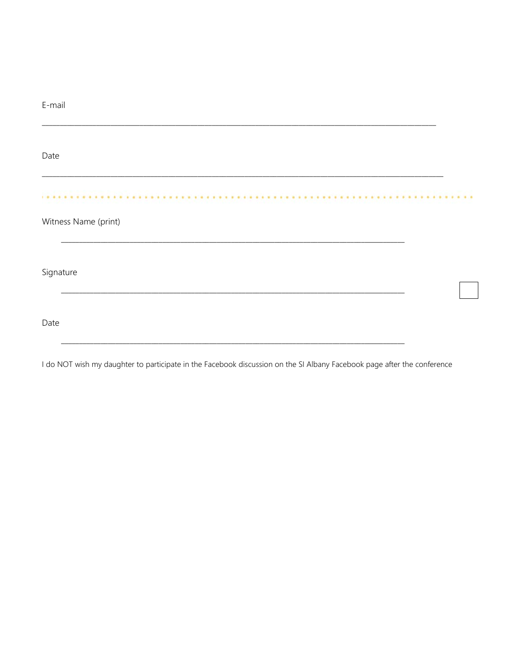| E-mail               |  |
|----------------------|--|
| Date                 |  |
| Witness Name (print) |  |
| Signature            |  |
| Date                 |  |

I do NOT wish my daughter to participate in the Facebook discussion on the SI Albany Facebook page after the conference